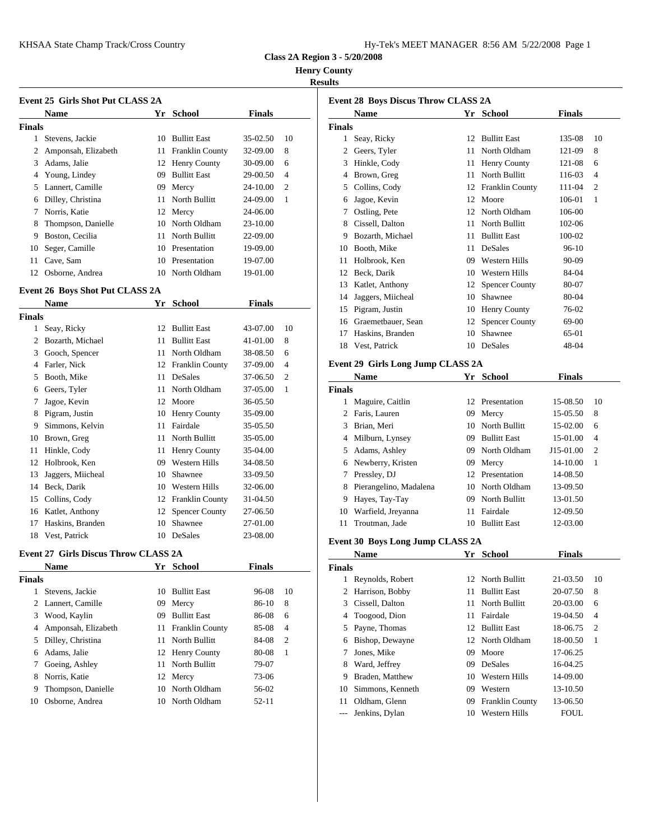| Hy-Tek's MEET MANAGER 8:56 AM 5/22/2008 Page 1 |  |  |  |  |
|------------------------------------------------|--|--|--|--|
|------------------------------------------------|--|--|--|--|

**Class 2A Region 3 - 5/20/2008**

**Henry County**

## **Results**

|               | Event 25 Girls Shot Put CLASS 2A |    |                        |               | Event 28 B     |               |              |
|---------------|----------------------------------|----|------------------------|---------------|----------------|---------------|--------------|
|               | <b>Name</b>                      | Yr | School                 | <b>Finals</b> |                |               | <b>Nam</b>   |
| <b>Finals</b> |                                  |    |                        |               |                | <b>Finals</b> |              |
| 1.            | Stevens, Jackie                  | 10 | <b>Bullitt East</b>    | 35-02.50      | 10             | 1             | Seay,        |
| 2             | Amponsah, Elizabeth              | 11 | <b>Franklin County</b> | 32-09.00      | 8              | 2             | Geers        |
| 3             | Adams, Jalie                     |    | 12 Henry County        | 30-09.00      | 6              | 3             | Hinkl        |
| 4             | Young, Lindey                    | 09 | <b>Bullitt East</b>    | 29-00.50      | $\overline{4}$ |               | <b>Brow</b>  |
| 5.            | Lannert, Camille                 |    | 09 Mercy               | 24-10.00      | $\overline{c}$ | 5.            | Collir       |
| 6             | Dilley, Christina                |    | 11 North Bullitt       | 24-09.00      | 1              | 6             | Jagoe        |
|               | Norris, Katie                    |    | 12 Mercy               | 24-06.00      |                |               | Ostlin       |
| 8             | Thompson, Danielle               |    | 10 North Oldham        | 23-10.00      |                | 8             | <b>Cisse</b> |
| 9             | Boston, Cecilia                  | 11 | North Bullitt          | 22-09.00      |                | 9             | Bozar        |
| 10            | Seger, Camille                   |    | 10 Presentation        | 19-09.00      |                | 10            | <b>Booth</b> |
| 11            | Cave, Sam                        | 10 | Presentation           | 19-07.00      |                | 11            | Holbr        |
| 12            | Osborne, Andrea                  |    | 10 North Oldham        | 19-01.00      |                | 12            | Beck,        |

## **Event 26 Boys Shot Put CLASS 2A**

|        | <b>Name</b>       | Yr | <b>School</b>          | <b>Finals</b> |                |               | ,,     |
|--------|-------------------|----|------------------------|---------------|----------------|---------------|--------|
| Finals |                   |    |                        |               |                | 15<br>Pigrai  |        |
|        | Seay, Ricky       | 12 | <b>Bullitt East</b>    | 43-07.00      | 10             | 16            | Graer  |
| 2      | Bozarth, Michael  | 11 | <b>Bullitt East</b>    | 41-01.00      | 8              | 17            | Haski  |
| 3      | Gooch, Spencer    | 11 | North Oldham           | 38-08.50      | 6              | 18            | Vest,  |
| 4      | Farler, Nick      | 12 | <b>Franklin County</b> | 37-09.00      | $\overline{4}$ | Event 29 G    |        |
| 5      | Booth, Mike       | 11 | DeSales                | 37-06.50      | 2              |               | Nam    |
| 6      | Geers, Tyler      | 11 | North Oldham           | 37-05.00      | 1              | <b>Finals</b> |        |
| 7      | Jagoe, Kevin      | 12 | Moore                  | 36-05.50      |                |               | Magu   |
| 8      | Pigram, Justin    | 10 | Henry County           | 35-09.00      |                | 2             | Faris, |
| 9      | Simmons, Kelvin   | 11 | Fairdale               | 35-05.50      |                |               | Brian  |
| 10     | Brown, Greg       | 11 | North Bullitt          | 35-05.00      |                |               | Milbu  |
| 11     | Hinkle, Cody      | 11 | Henry County           | 35-04.00      |                | 5             | Adam   |
| 12     | Holbrook, Ken     | 09 | Western Hills          | 34-08.50      |                | 6             | Newb   |
| 13     | Jaggers, Miicheal | 10 | Shawnee                | 33-09.50      |                |               | Pressl |
| 14     | Beck, Darik       | 10 | Western Hills          | 32-06.00      |                | 8             | Pierar |
| 15     | Collins, Cody     | 12 | <b>Franklin County</b> | 31-04.50      |                | 9             | Hayes  |
| 16     | Katlet, Anthony   | 12 | <b>Spencer County</b>  | 27-06.50      |                | 10            | Warfi  |
| 17     | Haskins, Branden  | 10 | Shawnee                | 27-01.00      |                | 11            | Trout  |
| 18     | Vest, Patrick     |    | 10 DeSales             | 23-08.00      |                | п. 190 п      |        |

## **Event 27 Girls Discus Throw CLASS 2A**

|        | <b>Name</b>         | Yr  | <b>School</b>       | <b>Finals</b> |                | <b>Finals</b> |              |
|--------|---------------------|-----|---------------------|---------------|----------------|---------------|--------------|
| Finals |                     |     |                     |               |                | 1             | Reyno        |
|        | Stevens, Jackie     |     | 10 Bullitt East     | 96-08         | 10             |               | 2 Harris     |
|        | 2 Lannert, Camille  | 09  | Mercy               | 86-10         | 8              |               | 3 Cissel     |
| 3      | Wood, Kaylin        | 09  | <b>Bullitt East</b> | 86-08         | 6              | 4             | Toogo        |
| 4      | Amponsah, Elizabeth |     | 11 Franklin County  | 85-08         | $\overline{4}$ | 5             | Payne        |
| 5.     | Dilley, Christina   |     | 11 North Bullitt    | 84-08         | 2              |               | 6 Bisho      |
| 6      | Adams. Jalie        |     | 12 Henry County     | 80-08         | -1             | $\tau$        | Jones        |
| 7      | Goeing, Ashley      |     | 11 North Bullitt    | 79-07         |                | 8             | Ward         |
| 8      | Norris, Katie       |     | 12 Mercy            | 73-06         |                | 9             | <b>Brade</b> |
| 9      | Thompson, Danielle  | 10  | North Oldham        | 56-02         |                | 10            | Simm         |
| 10     | Osborne, Andrea     | 10. | North Oldham        | $52 - 11$     |                | 11            | Oldha        |
|        |                     |     |                     |               |                |               |              |

|        | <b>Name</b>                       | Yr | <b>School</b>         | <b>Finals</b> |                |
|--------|-----------------------------------|----|-----------------------|---------------|----------------|
| Finals |                                   |    |                       |               |                |
| 1      | Seay, Ricky                       | 12 | <b>Bullitt East</b>   | 135-08        | 10             |
| 2      | Geers, Tyler                      | 11 | North Oldham          | 121-09        | 8              |
| 3      | Hinkle, Cody                      | 11 | Henry County          | 121-08        | 6              |
| 4      | Brown, Greg                       | 11 | North Bullitt         | 116-03        | $\overline{4}$ |
| 5      | Collins, Cody                     | 12 | Franklin County       | 111-04        | $\overline{2}$ |
| 6      | Jagoe, Kevin                      | 12 | Moore                 | 106-01        | 1              |
| 7      | Ostling, Pete                     | 12 | North Oldham          | 106-00        |                |
| 8      | Cissell, Dalton                   | 11 | North Bullitt         | 102-06        |                |
| 9      | Bozarth, Michael                  | 11 | <b>Bullitt East</b>   | 100-02        |                |
| 10     | Booth, Mike                       | 11 | <b>DeSales</b>        | $96-10$       |                |
| 11     | Holbrook, Ken                     | 09 | <b>Western Hills</b>  | 90-09         |                |
| 12     | Beck, Darik                       | 10 | <b>Western Hills</b>  | 84-04         |                |
| 13     | Katlet, Anthony                   | 12 | <b>Spencer County</b> | 80-07         |                |
| 14     | Jaggers, Miicheal                 | 10 | Shawnee               | 80-04         |                |
| 15     | Pigram, Justin                    | 10 | Henry County          | 76-02         |                |
| 16     | Graemetbauer, Sean                | 12 | <b>Spencer County</b> | 69-00         |                |
| 17     | Haskins, Branden                  | 10 | Shawnee               | 65-01         |                |
| 18     | Vest, Patrick                     | 10 | DeSales               | 48-04         |                |
|        | Event 29 Girls Long Jump CLASS 2A |    |                       |               |                |
|        | <b>Name</b>                       |    | Yr School             | <b>Finals</b> |                |
| Finals |                                   |    |                       |               |                |

 Maguire, Caitlin 12 Presentation 15-08.50 10 Faris, Lauren 09 Mercy 15-05.50 8 Brian, Meri 10 North Bullitt 15-02.00 6 Milburn, Lynsey 09 Bullitt East 15-01.00 4 Adams, Ashley 09 North Oldham J15-01.00 2 Newberry, Kristen 09 Mercy 14-10.00 1 Pressley, DJ 12 Presentation 14-08.50 Pierangelino, Madalena 10 North Oldham 13-09.50 Hayes, Tay-Tay 09 North Bullitt 13-01.50 Warfield, Jreyanna 11 Fairdale 12-09.50 Troutman, Jade 10 Bullitt East 12-03.00

## **Event 30 Boys Long Jump CLASS 2A**

|        | <b>Name</b>      | Yr | School                 | <b>Finals</b> |                |
|--------|------------------|----|------------------------|---------------|----------------|
| Finals |                  |    |                        |               |                |
| 1      | Reynolds, Robert |    | 12 North Bullitt       | 21-03.50      | 10             |
| 2      | Harrison, Bobby  | 11 | <b>Bullitt East</b>    | 20-07.50      | 8              |
| 3      | Cissell, Dalton  |    | 11 North Bullitt       | 20-03.00      | 6              |
|        | 4 Toogood, Dion  |    | 11 Fairdale            | 19-04.50      | $\overline{4}$ |
|        | 5 Payne, Thomas  |    | 12 Bullitt East        | 18-06.75      | 2              |
| 6      | Bishop, Dewayne  |    | 12 North Oldham        | 18-00.50      | 1              |
| 7      | Jones, Mike      | 09 | Moore                  | 17-06.25      |                |
| 8      | Ward, Jeffrey    | 09 | DeSales                | 16-04.25      |                |
| 9      | Braden, Matthew  | 10 | Western Hills          | 14-09.00      |                |
| 10     | Simmons, Kenneth | 09 | Western                | 13-10.50      |                |
| 11     | Oldham, Glenn    | 09 | <b>Franklin County</b> | 13-06.50      |                |
|        | Jenkins, Dylan   | 10 | Western Hills          | <b>FOUL</b>   |                |